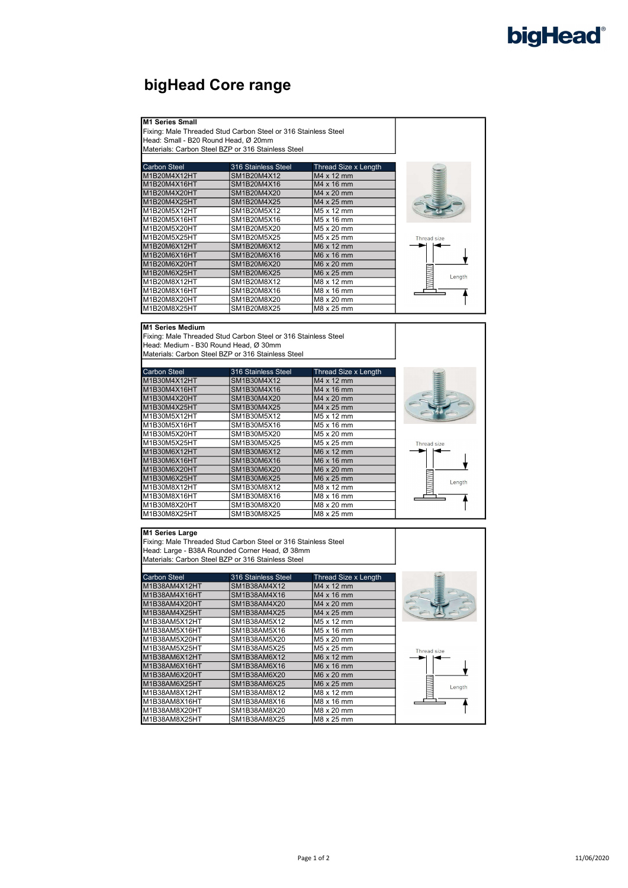# bigHead®

## bigHead Core range

### M1 Series Small

Fixing: Male Threaded Stud Carbon Steel or 316 Stainless Steel Head: Small - B20 Round Head, Ø 20mm

Materials: Carbon Steel BZP or 316 Stainless Steel

| <b>Carbon Steel</b> | 316 Stainless Steel | Thread Size x Length   |             |
|---------------------|---------------------|------------------------|-------------|
| M1B20M4X12HT        | SM1B20M4X12         | M4 x 12 mm             |             |
| M1B20M4X16HT        | SM1B20M4X16         | M4 x 16 mm             |             |
| M1B20M4X20HT        | SM1B20M4X20         | M4 x 20 mm             |             |
| M1B20M4X25HT        | SM1B20M4X25         | M4 x 25 mm             |             |
| M1B20M5X12HT        | SM1B20M5X12         | M <sub>5</sub> x 12 mm |             |
| M1B20M5X16HT        | SM1B20M5X16         | M <sub>5</sub> x 16 mm |             |
| M1B20M5X20HT        | SM1B20M5X20         | M5 x 20 mm             |             |
| M1B20M5X25HT        | SM1B20M5X25         | M <sub>5</sub> x 25 mm | Thread size |
| M1B20M6X12HT        | <b>SM1B20M6X12</b>  | M6 x 12 mm             |             |
| M1B20M6X16HT        | SM1B20M6X16         | M6 x 16 mm             |             |
| M1B20M6X20HT        | SM1B20M6X20         | M6 x 20 mm             |             |
| IM1B20M6X25HT       | SM1B20M6X25         | M6 x 25 mm             | Length      |
| M1B20M8X12HT        | SM1B20M8X12         | M8 x 12 mm             |             |
| M1B20M8X16HT        | SM1B20M8X16         | M8 x 16 mm             |             |
| IM1B20M8X20HT       | SM1B20M8X20         | M8 x 20 mm             |             |
| M1B20M8X25HT        | SM1B20M8X25         | M8 x 25 mm             |             |

### M1 Series Medium

Fixing: Male Threaded Stud Carbon Steel or 316 Stainless Steel Head: Medium - B30 Round Head, Ø 30mm Materials: Carbon Steel BZP or 316 Stainless Steel

| <b>Carbon Steel</b> | 316 Stainless Steel | Thread Size x Length   |             |
|---------------------|---------------------|------------------------|-------------|
| IM1B30M4X12HT       | SM1B30M4X12         | M4 x 12 mm             |             |
| M1B30M4X16HT        | SM1B30M4X16         | M4 x 16 mm             |             |
| M1B30M4X20HT        | SM1B30M4X20         | M4 x 20 mm             |             |
| M1B30M4X25HT        | SM1B30M4X25         | M4 x 25 mm             |             |
| M1B30M5X12HT        | SM1B30M5X12         | M <sub>5</sub> x 12 mm |             |
| M1B30M5X16HT        | SM1B30M5X16         | M <sub>5</sub> x 16 mm |             |
| M1B30M5X20HT        | SM1B30M5X20         | M5 x 20 mm             |             |
| M1B30M5X25HT        | SM1B30M5X25         | M <sub>5</sub> x 25 mm | Thread size |
| M1B30M6X12HT        | SM1B30M6X12         | M6 x 12 mm             |             |
| M1B30M6X16HT        | SM1B30M6X16         | M6 x 16 mm             |             |
| M1B30M6X20HT        | SM1B30M6X20         | M6 x 20 mm             |             |
| M1B30M6X25HT        | SM1B30M6X25         | M6 x 25 mm             | Length      |
| M1B30M8X12HT        | SM1B30M8X12         | M8 x 12 mm             |             |
| M1B30M8X16HT        | SM1B30M8X16         | M8 x 16 mm             |             |
| M1B30M8X20HT        | SM1B30M8X20         | M8 x 20 mm             |             |
| M1B30M8X25HT        | SM1B30M8X25         | M8 x 25 mm             |             |

### M1 Series Large

Fixing: Male Threaded Stud Carbon Steel or 316 Stainless Steel Head: Large - B38A Rounded Corner Head, Ø 38mm Materials: Carbon Steel BZP or 316 Stainless Steel

| Carbon Steel  | 316 Stainless Steel | Thread Size x Length   |             |
|---------------|---------------------|------------------------|-------------|
| M1B38AM4X12HT | SM1B38AM4X12        | M4 x 12 mm             |             |
| M1B38AM4X16HT | SM1B38AM4X16        | M4 x 16 mm             |             |
| M1B38AM4X20HT | SM1B38AM4X20        | M4 x 20 mm             |             |
| M1B38AM4X25HT | SM1B38AM4X25        | M4 x 25 mm             |             |
| M1B38AM5X12HT | SM1B38AM5X12        | M5 x 12 mm             |             |
| M1B38AM5X16HT | SM1B38AM5X16        | M <sub>5</sub> x 16 mm |             |
| M1B38AM5X20HT | SM1B38AM5X20        | M <sub>5</sub> x 20 mm |             |
| M1B38AM5X25HT | SM1B38AM5X25        | M <sub>5</sub> x 25 mm | Thread size |
| M1B38AM6X12HT | SM1B38AM6X12        | M6 x 12 mm             |             |
| M1B38AM6X16HT | SM1B38AM6X16        | M6 x 16 mm             |             |
| M1B38AM6X20HT | SM1B38AM6X20        | M6 x 20 mm             |             |
| M1B38AM6X25HT | SM1B38AM6X25        | M6 x 25 mm             |             |
| M1B38AM8X12HT | SM1B38AM8X12        | M8 x 12 mm             |             |
| M1B38AM8X16HT | SM1B38AM8X16        | M8 x 16 mm             |             |
| M1B38AM8X20HT | SM1B38AM8X20        | M8 x 20 mm             |             |
| M1B38AM8X25HT | SM1B38AM8X25        | M8 x 25 mm             |             |



Length

 $\overline{\textbf{f}}$